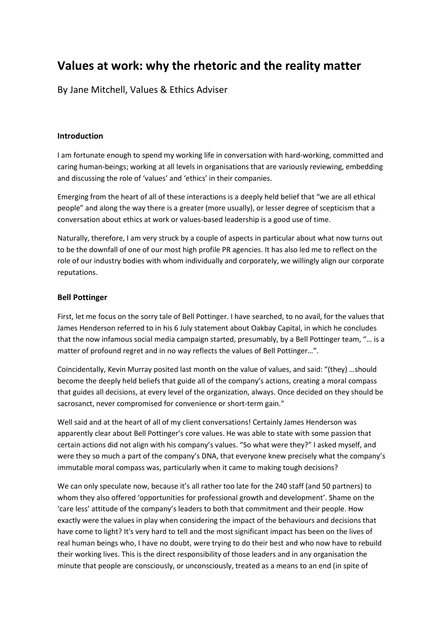# **Values at work: why the rhetoric and the reality matter**

By Jane Mitchell, Values & Ethics Adviser

## **Introduction**

I am fortunate enough to spend my working life in conversation with hard-working, committed and caring human-beings; working at all levels in organisations that are variously reviewing, embedding and discussing the role of 'values' and 'ethics' in their companies.

Emerging from the heart of all of these interactions is a deeply held belief that "we are all ethical people" and along the way there is a greater (more usually), or lesser degree of scepticism that a conversation about ethics at work or values-based leadership is a good use of time.

Naturally, therefore, I am very struck by a couple of aspects in particular about what now turns out to be the downfall of one of our most high profile PR agencies. It has also led me to reflect on the role of our industry bodies with whom individually and corporately, we willingly align our corporate reputations.

### **Bell Pottinger**

First, let me focus on the sorry tale of Bell Pottinger. I have searched, to no avail, for the values that James Henderson referred to in his 6 July statement about Oakbay Capital, in which he concludes that the now infamous social media campaign started, presumably, by a Bell Pottinger team, "… is a matter of profound regret and in no way reflects the values of Bell Pottinger…".

Coincidentally, Kevin Murray posited last month on the value of values, and said: "(they) …should become the deeply held beliefs that guide all of the company's actions, creating a moral compass that guides all decisions, at every level of the organization, always. Once decided on they should be sacrosanct, never compromised for convenience or short-term gain."

Well said and at the heart of all of my client conversations! Certainly James Henderson was apparently clear about Bell Pottinger's core values. He was able to state with some passion that certain actions did not align with his company's values. "So what were they?" I asked myself, and were they so much a part of the company's DNA, that everyone knew precisely what the company's immutable moral compass was, particularly when it came to making tough decisions?

We can only speculate now, because it's all rather too late for the 240 staff (and 50 partners) to whom they also offered 'opportunities for professional growth and development'. Shame on the 'care less' attitude of the company's leaders to both that commitment and their people. How exactly were the values in play when considering the impact of the behaviours and decisions that have come to light? It's very hard to tell and the most significant impact has been on the lives of real human beings who, I have no doubt, were trying to do their best and who now have to rebuild their working lives. This is the direct responsibility of those leaders and in any organisation the minute that people are consciously, or unconsciously, treated as a means to an end (in spite of